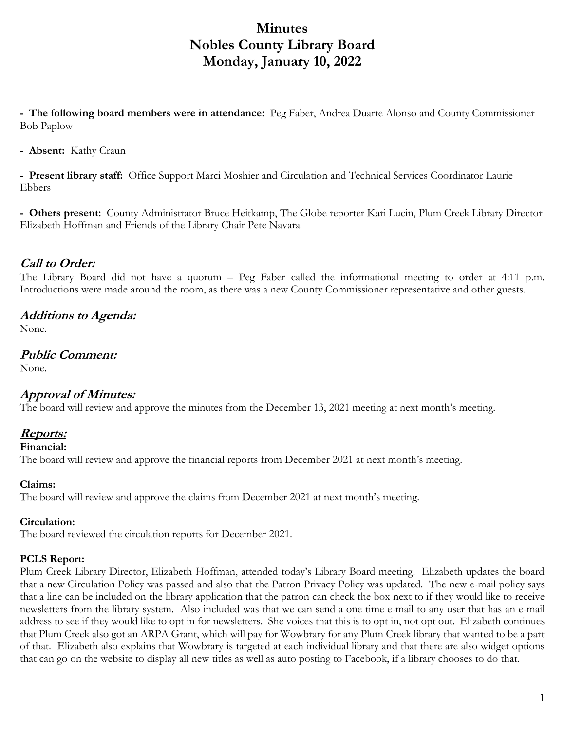# **Minutes Nobles County Library Board Monday, January 10, 2022**

**- The following board members were in attendance:** Peg Faber, Andrea Duarte Alonso and County Commissioner Bob Paplow

**- Absent:** Kathy Craun

**- Present library staff:** Office Support Marci Moshier and Circulation and Technical Services Coordinator Laurie Ebbers

**- Others present:** County Administrator Bruce Heitkamp, The Globe reporter Kari Lucin, Plum Creek Library Director Elizabeth Hoffman and Friends of the Library Chair Pete Navara

### **Call to Order:**

The Library Board did not have a quorum – Peg Faber called the informational meeting to order at 4:11 p.m. Introductions were made around the room, as there was a new County Commissioner representative and other guests.

### **Additions to Agenda:**

None.

# **Public Comment:**

None.

### **Approval of Minutes:**

The board will review and approve the minutes from the December 13, 2021 meeting at next month's meeting.

### **Reports:**

**Financial:** 

The board will review and approve the financial reports from December 2021 at next month's meeting.

### **Claims:**

The board will review and approve the claims from December 2021 at next month's meeting.

### **Circulation:**

The board reviewed the circulation reports for December 2021.

#### **PCLS Report:**

Plum Creek Library Director, Elizabeth Hoffman, attended today's Library Board meeting. Elizabeth updates the board that a new Circulation Policy was passed and also that the Patron Privacy Policy was updated. The new e-mail policy says that a line can be included on the library application that the patron can check the box next to if they would like to receive newsletters from the library system. Also included was that we can send a one time e-mail to any user that has an e-mail address to see if they would like to opt in for newsletters. She voices that this is to opt in, not opt out. Elizabeth continues that Plum Creek also got an ARPA Grant, which will pay for Wowbrary for any Plum Creek library that wanted to be a part of that. Elizabeth also explains that Wowbrary is targeted at each individual library and that there are also widget options that can go on the website to display all new titles as well as auto posting to Facebook, if a library chooses to do that.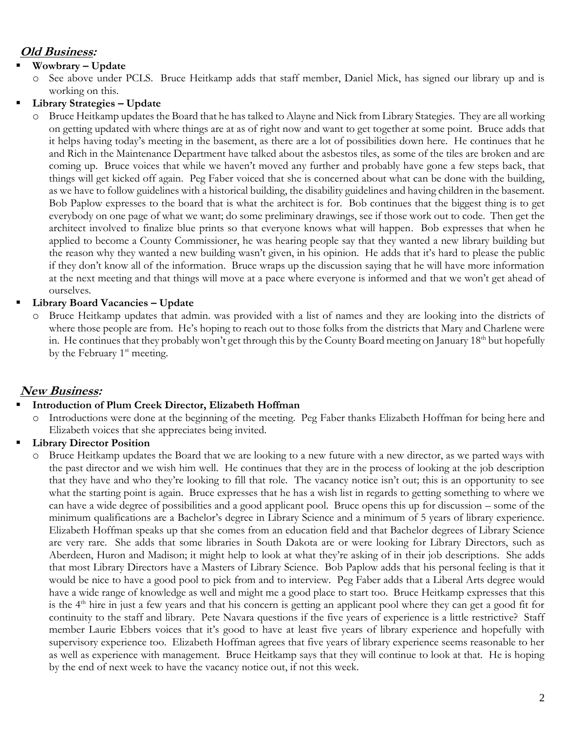# **Old Business:**

### **Wowbrary – Update**

- o See above under PCLS. Bruce Heitkamp adds that staff member, Daniel Mick, has signed our library up and is working on this.
- **Library Strategies – Update**

o Bruce Heitkamp updates the Board that he has talked to Alayne and Nick from Library Stategies. They are all working on getting updated with where things are at as of right now and want to get together at some point. Bruce adds that it helps having today's meeting in the basement, as there are a lot of possibilities down here. He continues that he and Rich in the Maintenance Department have talked about the asbestos tiles, as some of the tiles are broken and are coming up. Bruce voices that while we haven't moved any further and probably have gone a few steps back, that things will get kicked off again. Peg Faber voiced that she is concerned about what can be done with the building, as we have to follow guidelines with a historical building, the disability guidelines and having children in the basement. Bob Paplow expresses to the board that is what the architect is for. Bob continues that the biggest thing is to get everybody on one page of what we want; do some preliminary drawings, see if those work out to code. Then get the architect involved to finalize blue prints so that everyone knows what will happen. Bob expresses that when he applied to become a County Commissioner, he was hearing people say that they wanted a new library building but the reason why they wanted a new building wasn't given, in his opinion. He adds that it's hard to please the public if they don't know all of the information. Bruce wraps up the discussion saying that he will have more information at the next meeting and that things will move at a pace where everyone is informed and that we won't get ahead of ourselves.

### **Library Board Vacancies – Update**

o Bruce Heitkamp updates that admin. was provided with a list of names and they are looking into the districts of where those people are from. He's hoping to reach out to those folks from the districts that Mary and Charlene were in. He continues that they probably won't get through this by the County Board meeting on January  $18<sup>th</sup>$  but hopefully by the February  $1<sup>st</sup>$  meeting.

# **New Business:**

# **Introduction of Plum Creek Director, Elizabeth Hoffman**

Introductions were done at the beginning of the meeting. Peg Faber thanks Elizabeth Hoffman for being here and Elizabeth voices that she appreciates being invited.

# **Library Director Position**

Bruce Heitkamp updates the Board that we are looking to a new future with a new director, as we parted ways with the past director and we wish him well. He continues that they are in the process of looking at the job description that they have and who they're looking to fill that role. The vacancy notice isn't out; this is an opportunity to see what the starting point is again. Bruce expresses that he has a wish list in regards to getting something to where we can have a wide degree of possibilities and a good applicant pool. Bruce opens this up for discussion – some of the minimum qualifications are a Bachelor's degree in Library Science and a minimum of 5 years of library experience. Elizabeth Hoffman speaks up that she comes from an education field and that Bachelor degrees of Library Science are very rare. She adds that some libraries in South Dakota are or were looking for Library Directors, such as Aberdeen, Huron and Madison; it might help to look at what they're asking of in their job descriptions. She adds that most Library Directors have a Masters of Library Science. Bob Paplow adds that his personal feeling is that it would be nice to have a good pool to pick from and to interview. Peg Faber adds that a Liberal Arts degree would have a wide range of knowledge as well and might me a good place to start too. Bruce Heitkamp expresses that this is the  $4<sup>th</sup>$  hire in just a few years and that his concern is getting an applicant pool where they can get a good fit for continuity to the staff and library. Pete Navara questions if the five years of experience is a little restrictive? Staff member Laurie Ebbers voices that it's good to have at least five years of library experience and hopefully with supervisory experience too. Elizabeth Hoffman agrees that five years of library experience seems reasonable to her as well as experience with management. Bruce Heitkamp says that they will continue to look at that. He is hoping by the end of next week to have the vacancy notice out, if not this week.